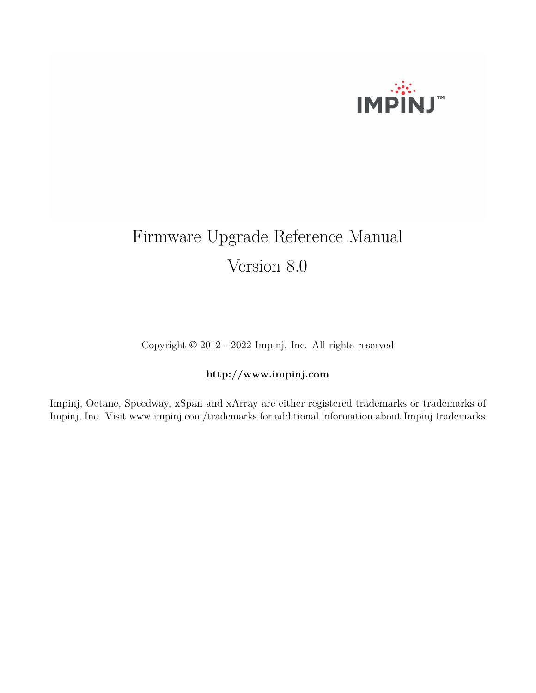

# Firmware Upgrade Reference Manual Version 8.0

Copyright © 2012 - 2022 Impinj, Inc. All rights reserved

# **http://www.impinj.com**

Impinj, Octane, Speedway, xSpan and xArray are either registered trademarks or trademarks of Impinj, Inc. Visit www.impinj.com/trademarks for additional information about Impinj trademarks.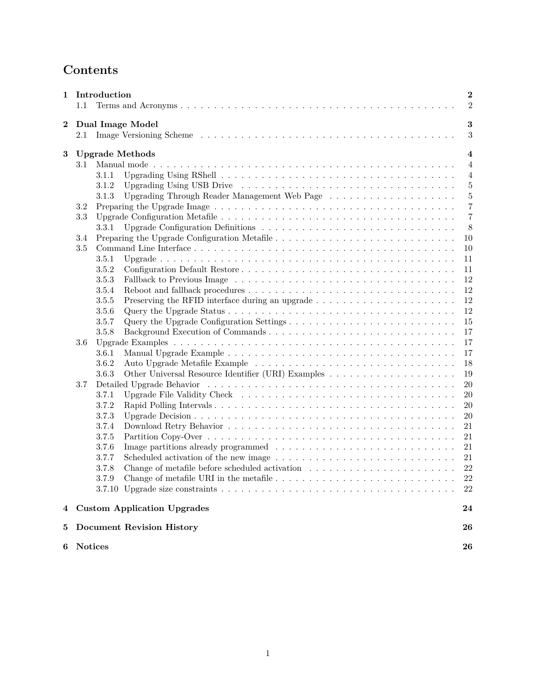# **Contents**

|                  |                              | 1 Introduction                                                                                                               | $\bf{2}$         |  |
|------------------|------------------------------|------------------------------------------------------------------------------------------------------------------------------|------------------|--|
|                  | 1.1                          |                                                                                                                              | $\overline{2}$   |  |
| $\boldsymbol{2}$ | $\bf{3}$<br>Dual Image Model |                                                                                                                              |                  |  |
|                  | 2.1                          |                                                                                                                              | $\sqrt{3}$       |  |
| 3                |                              | <b>Upgrade Methods</b>                                                                                                       | $\boldsymbol{4}$ |  |
|                  | 3.1                          |                                                                                                                              | $\overline{4}$   |  |
|                  |                              | 3.1.1                                                                                                                        | $\overline{4}$   |  |
|                  |                              | 3.1.2                                                                                                                        | $\overline{5}$   |  |
|                  |                              | Upgrading Through Reader Management Web Page<br>3.1.3                                                                        | $\overline{5}$   |  |
|                  | 3.2                          |                                                                                                                              | 7                |  |
|                  | 3.3                          |                                                                                                                              | $\overline{7}$   |  |
|                  |                              | 3.3.1                                                                                                                        | 8                |  |
|                  | 3.4                          |                                                                                                                              | 10               |  |
|                  | 3.5                          |                                                                                                                              | 10               |  |
|                  |                              | 3.5.1                                                                                                                        | 11               |  |
|                  |                              | 3.5.2                                                                                                                        | 11               |  |
|                  |                              | 3.5.3                                                                                                                        | 12               |  |
|                  |                              | 3.5.4                                                                                                                        | 12               |  |
|                  |                              | 3.5.5                                                                                                                        | 12               |  |
|                  |                              | 3.5.6                                                                                                                        | 12               |  |
|                  |                              | 3.5.7                                                                                                                        | 15               |  |
|                  |                              | 3.5.8                                                                                                                        | 17               |  |
|                  | 3.6                          |                                                                                                                              | 17               |  |
|                  |                              | 3.6.1                                                                                                                        | 17               |  |
|                  |                              | 3.6.2                                                                                                                        | 18               |  |
|                  |                              | 3.6.3                                                                                                                        | 19               |  |
|                  | 3.7                          |                                                                                                                              | $20\,$           |  |
|                  |                              | 3.7.1                                                                                                                        | $20\,$           |  |
|                  |                              | 3.7.2                                                                                                                        | 20               |  |
|                  |                              | 3.7.3                                                                                                                        | 20               |  |
|                  |                              | 3.7.4                                                                                                                        | 21               |  |
|                  |                              | 3.7.5                                                                                                                        | 21               |  |
|                  |                              | 3.7.6                                                                                                                        | 21               |  |
|                  |                              | 3.7.7<br>Scheduled activation of the new image $\dots \dots \dots \dots \dots \dots \dots \dots \dots \dots \dots$           | 21               |  |
|                  |                              | 3.7.8                                                                                                                        | $22\,$           |  |
|                  |                              | 3.7.9                                                                                                                        | 22               |  |
|                  |                              | 3.7.10 Upgrade size constraints $\ldots \ldots \ldots \ldots \ldots \ldots \ldots \ldots \ldots \ldots \ldots \ldots \ldots$ | 22               |  |
|                  |                              |                                                                                                                              |                  |  |
| 4                |                              | <b>Custom Application Upgrades</b>                                                                                           | 24               |  |
| $\bf{5}$         |                              | <b>Document Revision History</b>                                                                                             | 26               |  |
| 6                |                              | <b>Notices</b>                                                                                                               | 26               |  |
|                  |                              |                                                                                                                              |                  |  |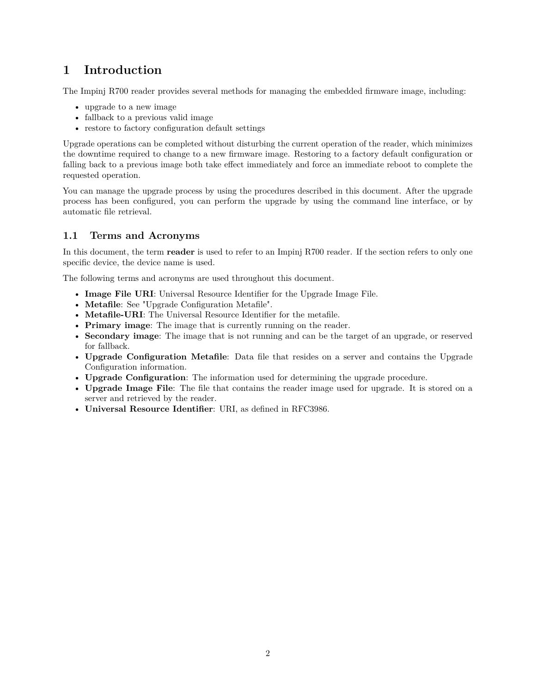# <span id="page-2-0"></span>**1 Introduction**

The Impinj R700 reader provides several methods for managing the embedded firmware image, including:

- upgrade to a new image
- fallback to a previous valid image
- restore to factory configuration default settings

Upgrade operations can be completed without disturbing the current operation of the reader, which minimizes the downtime required to change to a new firmware image. Restoring to a factory default configuration or falling back to a previous image both take effect immediately and force an immediate reboot to complete the requested operation.

You can manage the upgrade process by using the procedures described in this document. After the upgrade process has been configured, you can perform the upgrade by using the command line interface, or by automatic file retrieval.

# **1.1 Terms and Acronyms**

In this document, the term **reader** is used to refer to an Impinj R700 reader. If the section refers to only one specific device, the device name is used.

The following terms and acronyms are used throughout this document.

- **Image File URI**: Universal Resource Identifier for the Upgrade Image File.
- **Metafile**: See "Upgrade Configuration Metafile".
- **Metafile-URI**: The Universal Resource Identifier for the metafile.
- **Primary image**: The image that is currently running on the reader.
- **Secondary image**: The image that is not running and can be the target of an upgrade, or reserved for fallback.
- **Upgrade Configuration Metafile**: Data file that resides on a server and contains the Upgrade Configuration information.
- **Upgrade Configuration**: The information used for determining the upgrade procedure.
- **Upgrade Image File**: The file that contains the reader image used for upgrade. It is stored on a server and retrieved by the reader.
- **Universal Resource Identifier**: URI, as defined in RFC3986.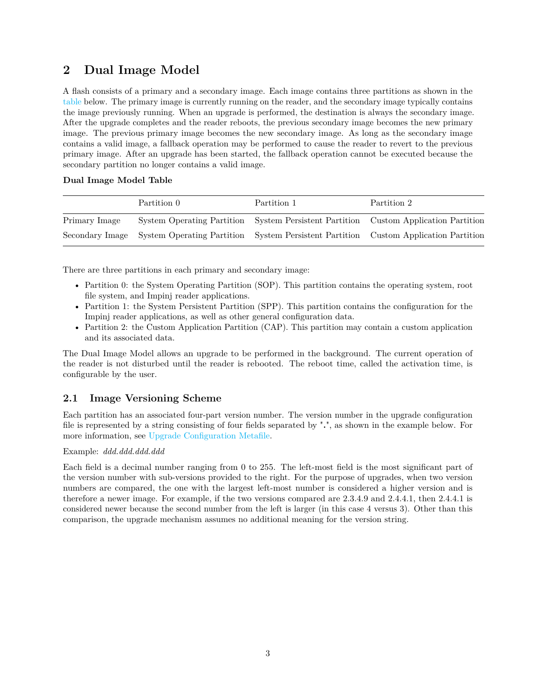# <span id="page-3-0"></span>**2 Dual Image Model**

A flash consists of a primary and a secondary image. Each image contains three partitions as shown in the table below. The primary image is currently running on the reader, and the secondary image typically contains the image previously running. When an upgrade is performed, the destination is always the secondary image. After the upgrade completes and the reader reboots, the previous secondary image becomes the new primary image. The previous primary image becomes the new secondary image. As long as the secondary image contains a valid image, a fallback operation may be performed to cause the reader to revert to the previous primary image. After an upgrade has been started, the fallback operation cannot be executed because the secondary partition no longer contains a valid image.

# **Dual Image Model Table**

|               | Partition 0 | Partition 1 | Partition 2                                                                                         |
|---------------|-------------|-------------|-----------------------------------------------------------------------------------------------------|
| Primary Image |             |             | System Operating Partition System Persistent Partition Custom Application Partition                 |
|               |             |             | Secondary Image System Operating Partition System Persistent Partition Custom Application Partition |

There are three partitions in each primary and secondary image:

- Partition 0: the System Operating Partition (SOP). This partition contains the operating system, root file system, and Impinj reader applications.
- Partition 1: the System Persistent Partition (SPP). This partition contains the configuration for the Impinj reader applications, as well as other general configuration data.
- Partition 2: the Custom Application Partition (CAP). This partition may contain a custom application and its associated data.

The Dual Image Model allows an upgrade to be performed in the background. The current operation of the reader is not disturbed until the reader is rebooted. The reboot time, called the activation time, is configurable by the user.

# **2.1 Image Versioning Scheme**

Each partition has an associated four-part version number. The version number in the upgrade configuration file is represented by a string consisting of four fields separated by "**.**", as shown in the example below. For more information, see [Upgrade Configuration Metafile.](#page-7-0)

# Example: *ddd.ddd.ddd.ddd*

Each field is a decimal number ranging from 0 to 255. The left-most field is the most significant part of the version number with sub-versions provided to the right. For the purpose of upgrades, when two version numbers are compared, the one with the largest left-most number is considered a higher version and is therefore a newer image. For example, if the two versions compared are 2.3.4.9 and 2.4.4.1, then 2.4.4.1 is considered newer because the second number from the left is larger (in this case 4 versus 3). Other than this comparison, the upgrade mechanism assumes no additional meaning for the version string.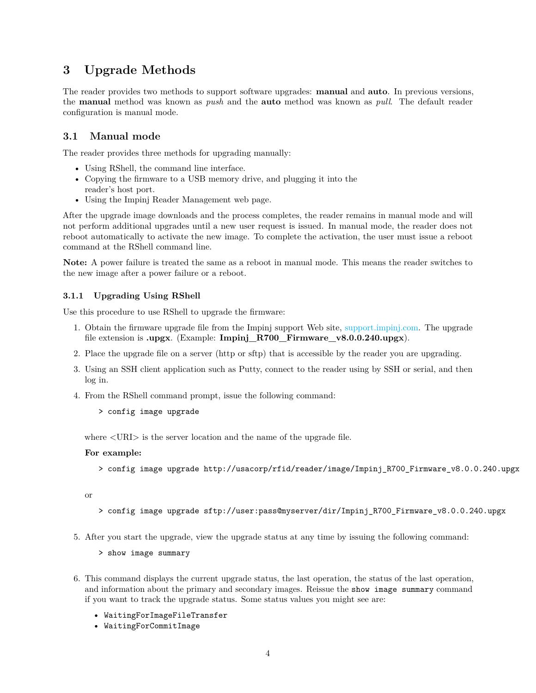# <span id="page-4-0"></span>**3 Upgrade Methods**

The reader provides two methods to support software upgrades: **manual** and **auto**. In previous versions, the **manual** method was known as *push* and the **auto** method was known as *pull*. The default reader configuration is manual mode.

# **3.1 Manual mode**

The reader provides three methods for upgrading manually:

- Using RShell, the command line interface.
- Copying the firmware to a USB memory drive, and plugging it into the reader's host port.
- Using the Impinj Reader Management web page.

After the upgrade image downloads and the process completes, the reader remains in manual mode and will not perform additional upgrades until a new user request is issued. In manual mode, the reader does not reboot automatically to activate the new image. To complete the activation, the user must issue a reboot command at the RShell command line.

**Note:** A power failure is treated the same as a reboot in manual mode. This means the reader switches to the new image after a power failure or a reboot.

#### **3.1.1 Upgrading Using RShell**

Use this procedure to use RShell to upgrade the firmware:

- 1. Obtain the firmware upgrade file from the Impinj support Web site, [support.impinj.com.](http://support.impinj.com/) The upgrade file extension is **.upgx**. (Example: **Impinj\_R700\_Firmware\_v8.0.0.240.upgx**).
- 2. Place the upgrade file on a server (http or sftp) that is accessible by the reader you are upgrading.
- 3. Using an SSH client application such as Putty, connect to the reader using by SSH or serial, and then log in.
- 4. From the RShell command prompt, issue the following command:
	- > config image upgrade

where  $\langle \text{URI} \rangle$  is the server location and the name of the upgrade file.

#### **For example:**

> config image upgrade http://usacorp/rfid/reader/image/Impinj\_R700\_Firmware\_v8.0.0.240.upgx

or

- > config image upgrade sftp://user:pass@myserver/dir/Impinj\_R700\_Firmware\_v8.0.0.240.upgx
- 5. After you start the upgrade, view the upgrade status at any time by issuing the following command:

> show image summary

- 6. This command displays the current upgrade status, the last operation, the status of the last operation, and information about the primary and secondary images. Reissue the show image summary command if you want to track the upgrade status. Some status values you might see are:
	- WaitingForImageFileTransfer
	- WaitingForCommitImage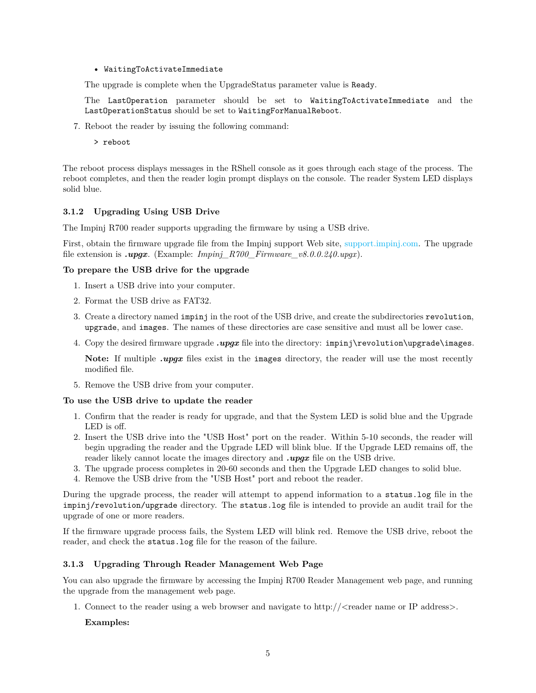#### <span id="page-5-0"></span>• WaitingToActivateImmediate

The upgrade is complete when the UpgradeStatus parameter value is Ready.

The LastOperation parameter should be set to WaitingToActivateImmediate and the LastOperationStatus should be set to WaitingForManualReboot.

- 7. Reboot the reader by issuing the following command:
	- > reboot

The reboot process displays messages in the RShell console as it goes through each stage of the process. The reboot completes, and then the reader login prompt displays on the console. The reader System LED displays solid blue.

#### **3.1.2 Upgrading Using USB Drive**

The Impinj R700 reader supports upgrading the firmware by using a USB drive.

First, obtain the firmware upgrade file from the Impinj support Web site, [support.impinj.com.](http://support.impinj.com/) The upgrade file extension is *.upgx*. (Example: *Impinj\_R700\_Firmware\_v8.0.0.240.upgx*).

#### **To prepare the USB drive for the upgrade**

- 1. Insert a USB drive into your computer.
- 2. Format the USB drive as FAT32.
- 3. Create a directory named impinj in the root of the USB drive, and create the subdirectories revolution, upgrade, and images. The names of these directories are case sensitive and must all be lower case.
- 4. Copy the desired firmware upgrade *.upgx* file into the directory: impinj\revolution\upgrade\images.

**Note:** If multiple *.upgx* files exist in the images directory, the reader will use the most recently modified file.

5. Remove the USB drive from your computer.

#### **To use the USB drive to update the reader**

- 1. Confirm that the reader is ready for upgrade, and that the System LED is solid blue and the Upgrade LED is off.
- 2. Insert the USB drive into the "USB Host" port on the reader. Within 5-10 seconds, the reader will begin upgrading the reader and the Upgrade LED will blink blue. If the Upgrade LED remains off, the reader likely cannot locate the images directory and *.upgx* file on the USB drive.
- 3. The upgrade process completes in 20-60 seconds and then the Upgrade LED changes to solid blue.
- 4. Remove the USB drive from the "USB Host" port and reboot the reader.

During the upgrade process, the reader will attempt to append information to a status.log file in the impinj/revolution/upgrade directory. The status.log file is intended to provide an audit trail for the upgrade of one or more readers.

If the firmware upgrade process fails, the System LED will blink red. Remove the USB drive, reboot the reader, and check the status.log file for the reason of the failure.

#### **3.1.3 Upgrading Through Reader Management Web Page**

You can also upgrade the firmware by accessing the Impinj R700 Reader Management web page, and running the upgrade from the management web page.

1. Connect to the reader using a web browser and navigate to http://<reader name or IP address>.

#### **Examples:**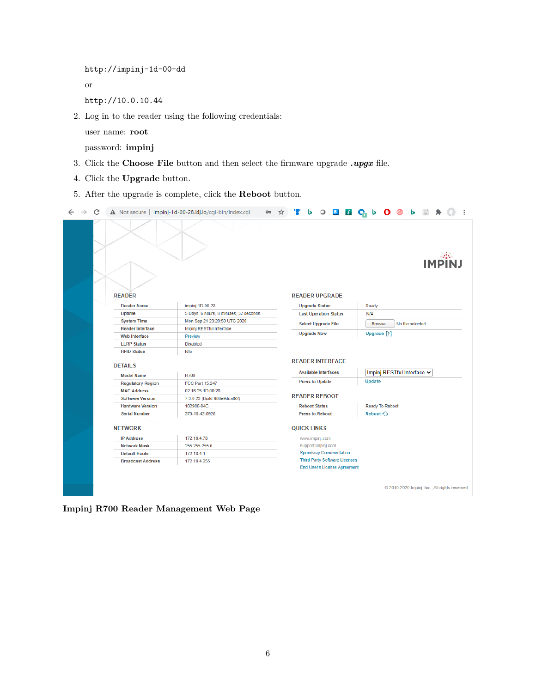```
http://impinj-1d-00-dd
or
```
http://10.0.10.44

2. Log in to the reader using the following credentials:

user name: **root**

password: **impinj**

- 3. Click the **Choose File** button and then select the firmware upgrade *.upgx* file.
- 4. Click the **Upgrade** button.
- 5. After the upgrade is complete, click the **Reboot** button.

|  | C |                          | A Not secure   impinj-1d-00-28.i4j.io/cgi-bin/index.cgi |  | $\circ$                                                | $\mathbf{s}$<br>$\mathcal{S}$        | ር ኦ | $\mathbf{o}$               |                   |               |                                             |
|--|---|--------------------------|---------------------------------------------------------|--|--------------------------------------------------------|--------------------------------------|-----|----------------------------|-------------------|---------------|---------------------------------------------|
|  |   | <b>READER</b>            |                                                         |  | <b>READER UPGRADE</b>                                  |                                      |     |                            |                   | <b>IMPI</b> N |                                             |
|  |   | <b>Reader Name</b>       | impinj-1D-00-28                                         |  | <b>Upgrade Status</b>                                  |                                      |     | Ready                      |                   |               |                                             |
|  |   | <b>Uptime</b>            | 5 Days, 6 hours, 8 minutes, 52 seconds                  |  | <b>Last Operation Status</b>                           |                                      | N/A |                            |                   |               |                                             |
|  |   | <b>System Time</b>       | Mon Sep 21 23:20:50 UTC 2020                            |  | <b>Select Upgrade File</b>                             |                                      |     | Browse                     | No file selected. |               |                                             |
|  |   | <b>Reader Interface</b>  | Impinj RESTful Interface                                |  |                                                        |                                      |     |                            |                   |               |                                             |
|  |   | <b>Web Interface</b>     | Preview                                                 |  | <b>Upgrade Now</b>                                     |                                      |     | Upgrade [1]                |                   |               |                                             |
|  |   | <b>LLRP Status</b>       | <b>Disabled</b>                                         |  |                                                        |                                      |     |                            |                   |               |                                             |
|  |   | <b>RFID Status</b>       | Idle                                                    |  |                                                        |                                      |     |                            |                   |               |                                             |
|  |   | <b>DETAILS</b>           |                                                         |  | <b>READER INTERFACE</b><br><b>Available Interfaces</b> |                                      |     | Impinj RESTful Interface V |                   |               |                                             |
|  |   | <b>Model Name</b>        | R700                                                    |  |                                                        |                                      |     |                            |                   |               |                                             |
|  |   | <b>Regulatory Region</b> | <b>FCC Part 15.247</b>                                  |  | <b>Press to Update</b>                                 |                                      |     | Update                     |                   |               |                                             |
|  |   | <b>MAC Address</b>       | 02:16:25:1D:00:28                                       |  | <b>READER REBOOT</b>                                   |                                      |     |                            |                   |               |                                             |
|  |   | <b>Software Version</b>  | 7.3.0.23 (Build 986e9ddaf92)                            |  |                                                        |                                      |     |                            |                   |               |                                             |
|  |   | <b>Hardware Version</b>  | 102900-04C                                              |  | <b>Reboot Status</b>                                   |                                      |     | <b>Ready To Reboot</b>     |                   |               |                                             |
|  |   | <b>Serial Number</b>     | 370-19-42-0928                                          |  | <b>Press to Reboot</b>                                 |                                      |     | Reboot O                   |                   |               |                                             |
|  |   | <b>NETWORK</b>           |                                                         |  | <b>QUICK LINKS</b>                                     |                                      |     |                            |                   |               |                                             |
|  |   | <b>IP Address</b>        | 172.18.4.78                                             |  | www.impinj.com                                         |                                      |     |                            |                   |               |                                             |
|  |   | <b>Network Mask</b>      | 255.255.255.0                                           |  | support.impinj.com                                     |                                      |     |                            |                   |               |                                             |
|  |   | <b>Default Route</b>     | 172.18.4.1                                              |  |                                                        | <b>Speedway Documentation</b>        |     |                            |                   |               |                                             |
|  |   | <b>Broadcast Address</b> | 172.18.4.255                                            |  |                                                        | <b>Third Party Software Licenses</b> |     |                            |                   |               |                                             |
|  |   |                          |                                                         |  |                                                        | End User's License Agreement         |     |                            |                   |               |                                             |
|  |   |                          |                                                         |  |                                                        |                                      |     |                            |                   |               |                                             |
|  |   |                          |                                                         |  |                                                        |                                      |     |                            |                   |               | 2010-2020 Impinj, Inc., All rights reserved |

**Impinj R700 Reader Management Web Page**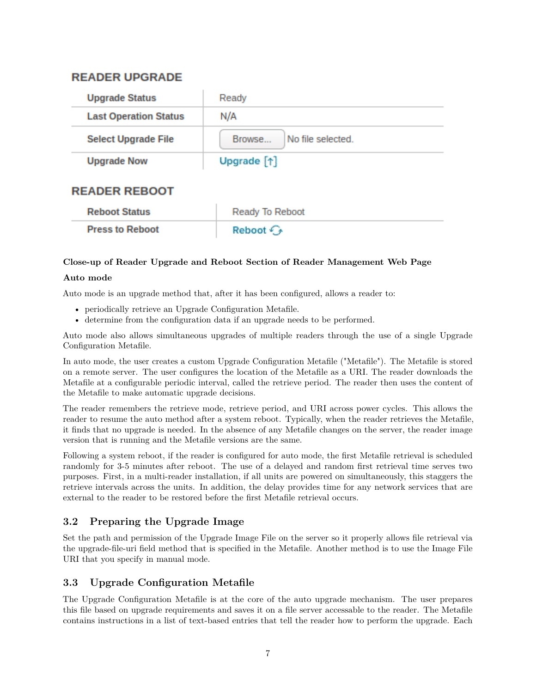# <span id="page-7-0"></span>**READER UPGRADE**

| <b>Upgrade Status</b>        | Ready                       |  |  |  |
|------------------------------|-----------------------------|--|--|--|
| <b>Last Operation Status</b> | N/A                         |  |  |  |
| <b>Select Upgrade File</b>   | No file selected.<br>Browse |  |  |  |
| <b>Upgrade Now</b>           | Upgrade [1]                 |  |  |  |
| RFAERAA                      |                             |  |  |  |

# **READER REBOOT**

| <b>Reboot Status</b>   | Ready To Reboot        |
|------------------------|------------------------|
| <b>Press to Reboot</b> | Reboot $\mathcal{C}_2$ |

# **Close-up of Reader Upgrade and Reboot Section of Reader Management Web Page**

# **Auto mode**

Auto mode is an upgrade method that, after it has been configured, allows a reader to:

- periodically retrieve an Upgrade Configuration Metafile.
- determine from the configuration data if an upgrade needs to be performed.

Auto mode also allows simultaneous upgrades of multiple readers through the use of a single Upgrade Configuration Metafile.

In auto mode, the user creates a custom Upgrade Configuration Metafile ("Metafile"). The Metafile is stored on a remote server. The user configures the location of the Metafile as a URI. The reader downloads the Metafile at a configurable periodic interval, called the retrieve period. The reader then uses the content of the Metafile to make automatic upgrade decisions.

The reader remembers the retrieve mode, retrieve period, and URI across power cycles. This allows the reader to resume the auto method after a system reboot. Typically, when the reader retrieves the Metafile, it finds that no upgrade is needed. In the absence of any Metafile changes on the server, the reader image version that is running and the Metafile versions are the same.

Following a system reboot, if the reader is configured for auto mode, the first Metafile retrieval is scheduled randomly for 3-5 minutes after reboot. The use of a delayed and random first retrieval time serves two purposes. First, in a multi-reader installation, if all units are powered on simultaneously, this staggers the retrieve intervals across the units. In addition, the delay provides time for any network services that are external to the reader to be restored before the first Metafile retrieval occurs.

# **3.2 Preparing the Upgrade Image**

Set the path and permission of the Upgrade Image File on the server so it properly allows file retrieval via the upgrade-file-uri field method that is specified in the Metafile. Another method is to use the Image File URI that you specify in manual mode.

# **3.3 Upgrade Configuration Metafile**

The Upgrade Configuration Metafile is at the core of the auto upgrade mechanism. The user prepares this file based on upgrade requirements and saves it on a file server accessable to the reader. The Metafile contains instructions in a list of text-based entries that tell the reader how to perform the upgrade. Each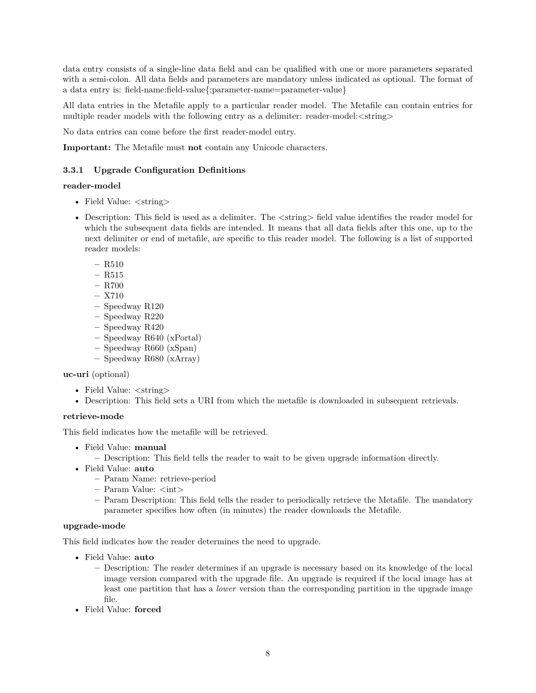<span id="page-8-0"></span>data entry consists of a single-line data field and can be qualified with one or more parameters separated with a semi-colon. All data fields and parameters are mandatory unless indicated as optional. The format of a data entry is: field-name:field-value{;parameter-name=parameter-value}

All data entries in the Metafile apply to a particular reader model. The Metafile can contain entries for multiple reader models with the following entry as a delimiter: reader-model:  $\langle$ string $\rangle$ 

No data entries can come before the first reader-model entry.

**Important:** The Metafile must **not** contain any Unicode characters.

# **3.3.1 Upgrade Configuration Definitions**

#### **reader-model**

- Field Value:  $\langle$ string>
- Description: This field is used as a delimiter. The  $\langle$ string $\rangle$  field value identifies the reader model for which the subsequent data fields are intended. It means that all data fields after this one, up to the next delimiter or end of metafile, are specific to this reader model. The following is a list of supported reader models:
	- **–** R510
	- **–** R515
	- **–** R700
	- **–** X710
	- **–** Speedway R120
	- **–** Speedway R220
	- **–** Speedway R420
	- **–** Speedway R640 (xPortal)
	- **–** Speedway R660 (xSpan)
	- **–** Speedway R680 (xArray)

# **uc-uri** (optional)

- Field Value:  $\langle$ string>
- Description: This field sets a URI from which the metafile is downloaded in subsequent retrievals.

# **retrieve-mode**

This field indicates how the metafile will be retrieved.

- Field Value: **manual**
	- **–** Description: This field tells the reader to wait to be given upgrade information directly.
- Field Value: **auto**
	- **–** Param Name: retrieve-period
	- **–** Param Value: <int>
	- **–** Param Description: This field tells the reader to periodically retrieve the Metafile. The mandatory parameter specifies how often (in minutes) the reader downloads the Metafile.

# **upgrade-mode**

This field indicates how the reader determines the need to upgrade.

- Field Value: **auto**
	- **–** Description: The reader determines if an upgrade is necessary based on its knowledge of the local image version compared with the upgrade file. An upgrade is required if the local image has at least one partition that has a *lower* version than the corresponding partition in the upgrade image file.
- Field Value: **forced**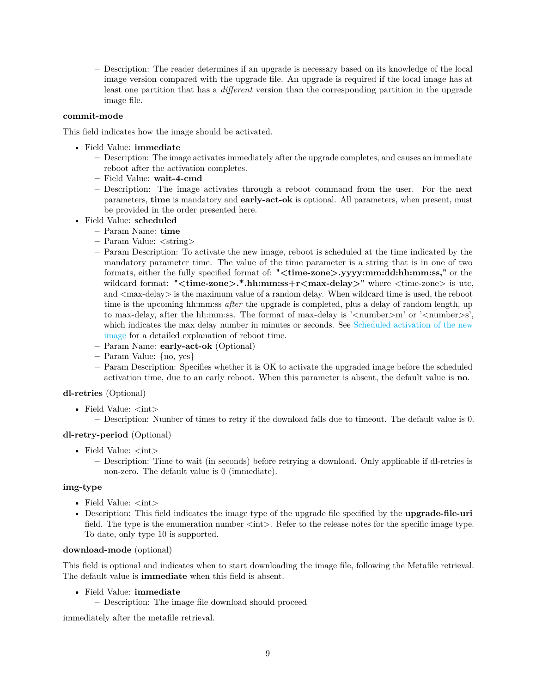**–** Description: The reader determines if an upgrade is necessary based on its knowledge of the local image version compared with the upgrade file. An upgrade is required if the local image has at least one partition that has a *different* version than the corresponding partition in the upgrade image file.

#### **commit-mode**

This field indicates how the image should be activated.

- Field Value: **immediate**
	- **–** Description: The image activates immediately after the upgrade completes, and causes an immediate reboot after the activation completes.
	- **–** Field Value: **wait-4-cmd**
	- **–** Description: The image activates through a reboot command from the user. For the next parameters, **time** is mandatory and **early-act-ok** is optional. All parameters, when present, must be provided in the order presented here.
- Field Value: **scheduled**
	- **–** Param Name: **time**
	- **–** Param Value: <string>
	- **–** Param Description: To activate the new image, reboot is scheduled at the time indicated by the mandatory parameter time. The value of the time parameter is a string that is in one of two formats, either the fully specified format of: **"<time-zone>.yyyy:mm:dd:hh:mm:ss,"** or the wildcard format: "<time-zone>.\*.hh:mm:ss+r<max-delay>" where <time-zone> is utc, and  $\langle$ max-delay  $>$  is the maximum value of a random delay. When wildcard time is used, the reboot time is the upcoming hh:mm:ss *after* the upgrade is completed, plus a delay of random length, up to max-delay, after the hh:mm:ss. The format of max-delay is  $\alpha$  ' $\alpha$  ' $\alpha$ ' or  $\alpha$ ' $\alpha$ ' $\alpha$ ' $\alpha$ ' $\beta$ ', which indicates the max delay number in minutes or seconds. See [Scheduled activation of the new](#page-21-0) [image](#page-21-0) for a detailed explanation of reboot time.
	- **–** Param Name: **early-act-ok** (Optional)
	- **–** Param Value: {no, yes}
	- **–** Param Description: Specifies whether it is OK to activate the upgraded image before the scheduled activation time, due to an early reboot. When this parameter is absent, the default value is **no**.

#### **dl-retries** (Optional)

- Field Value:  $\langle \text{int} \rangle$ 
	- **–** Description: Number of times to retry if the download fails due to timeout. The default value is 0.

#### **dl-retry-period** (Optional)

- Field Value:  $\langle \text{int} \rangle$ 
	- **–** Description: Time to wait (in seconds) before retrying a download. Only applicable if dl-retries is non-zero. The default value is 0 (immediate).

#### **img-type**

- Field Value:  $\langle \text{int} \rangle$
- Description: This field indicates the image type of the upgrade file specified by the **upgrade-file-uri** field. The type is the enumeration number  $\langle \text{int} \rangle$ . Refer to the release notes for the specific image type. To date, only type 10 is supported.

#### **download-mode** (optional)

This field is optional and indicates when to start downloading the image file, following the Metafile retrieval. The default value is **immediate** when this field is absent.

- Field Value: **immediate**
	- **–** Description: The image file download should proceed

immediately after the metafile retrieval.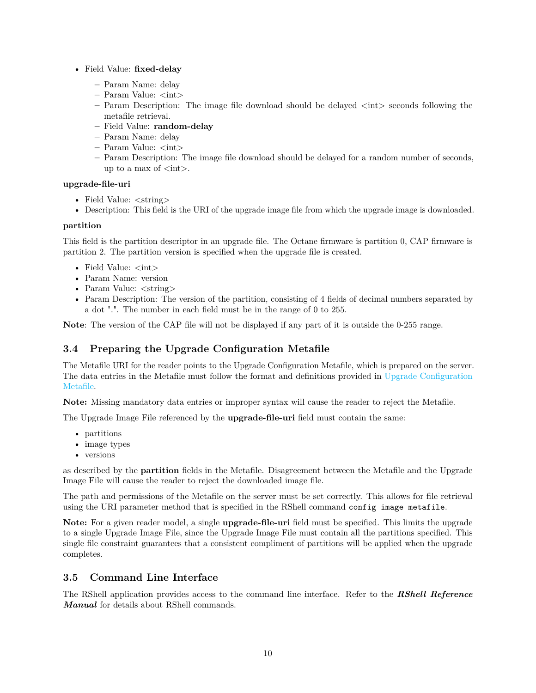- <span id="page-10-0"></span>• Field Value: **fixed-delay**
	- **–** Param Name: delay
	- **–** Param Value: <int>
	- **–** Param Description: The image file download should be delayed <int> seconds following the metafile retrieval.
	- **–** Field Value: **random-delay**
	- **–** Param Name: delay
	- **–** Param Value: <int>
	- **–** Param Description: The image file download should be delayed for a random number of seconds, up to a max of  $\langle \text{int} \rangle$ .

# **upgrade-file-uri**

- Field Value:  $\langle$ string>
- Description: This field is the URI of the upgrade image file from which the upgrade image is downloaded.

#### **partition**

This field is the partition descriptor in an upgrade file. The Octane firmware is partition 0, CAP firmware is partition 2. The partition version is specified when the upgrade file is created.

- Field Value:  $\langle \text{int} \rangle$
- Param Name: version
- Param Value:  $\langle$ string $\rangle$
- Param Description: The version of the partition, consisting of 4 fields of decimal numbers separated by a dot ".". The number in each field must be in the range of 0 to 255.

**Note**: The version of the CAP file will not be displayed if any part of it is outside the 0-255 range.

# **3.4 Preparing the Upgrade Configuration Metafile**

The Metafile URI for the reader points to the Upgrade Configuration Metafile, which is prepared on the server. The data entries in the Metafile must follow the format and definitions provided in [Upgrade Configuration](#page-7-0) [Metafile.](#page-7-0)

**Note:** Missing mandatory data entries or improper syntax will cause the reader to reject the Metafile.

The Upgrade Image File referenced by the **upgrade-file-uri** field must contain the same:

- partitions
- image types
- versions

as described by the **partition** fields in the Metafile. Disagreement between the Metafile and the Upgrade Image File will cause the reader to reject the downloaded image file.

The path and permissions of the Metafile on the server must be set correctly. This allows for file retrieval using the URI parameter method that is specified in the RShell command config image metafile.

**Note:** For a given reader model, a single **upgrade-file-uri** field must be specified. This limits the upgrade to a single Upgrade Image File, since the Upgrade Image File must contain all the partitions specified. This single file constraint guarantees that a consistent compliment of partitions will be applied when the upgrade completes.

# **3.5 Command Line Interface**

The RShell application provides access to the command line interface. Refer to the *RShell Reference Manual* for details about RShell commands.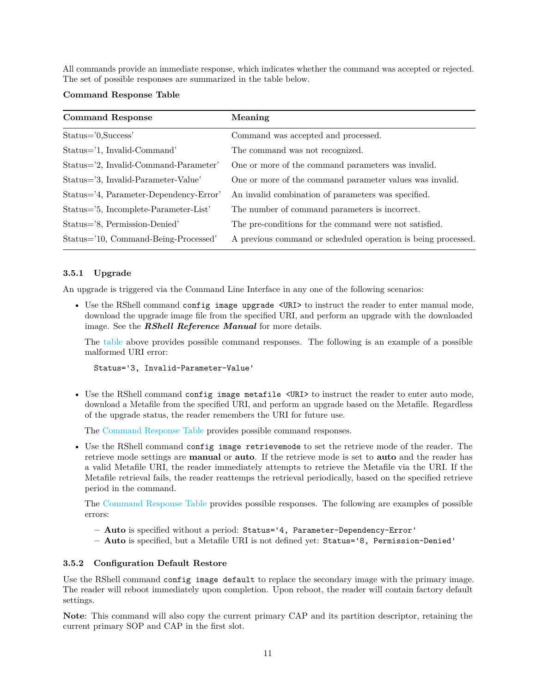<span id="page-11-0"></span>All commands provide an immediate response, which indicates whether the command was accepted or rejected. The set of possible responses are summarized in the table below.

#### **Command Response Table**

| <b>Command Response</b>                | Meaning                                                       |
|----------------------------------------|---------------------------------------------------------------|
| Status='0,Success'                     | Command was accepted and processed.                           |
| Status='1, Invalid-Command'            | The command was not recognized.                               |
| Status='2, Invalid-Command-Parameter'  | One or more of the command parameters was invalid.            |
| Status='3, Invalid-Parameter-Value'    | One or more of the command parameter values was invalid.      |
| Status='4, Parameter-Dependency-Error' | An invalid combination of parameters was specified.           |
| Status='5, Incomplete-Parameter-List'  | The number of command parameters is incorrect.                |
| Status='8, Permission-Denied'          | The pre-conditions for the command were not satisfied.        |
| Status='10, Command-Being-Processed'   | A previous command or scheduled operation is being processed. |

#### **3.5.1 Upgrade**

An upgrade is triggered via the Command Line Interface in any one of the following scenarios:

• Use the RShell command config image upgrade <URI> to instruct the reader to enter manual mode, download the upgrade image file from the specified URI, and perform an upgrade with the downloaded image. See the *RShell Reference Manual* for more details.

The table above provides possible command responses. The following is an example of a possible malformed URI error:

Status='3, Invalid-Parameter-Value'

• Use the RShell command config image metafile <URI> to instruct the reader to enter auto mode, download a Metafile from the specified URI, and perform an upgrade based on the Metafile. Regardless of the upgrade status, the reader remembers the URI for future use.

The Command Response Table provides possible command responses.

• Use the RShell command config image retrievemode to set the retrieve mode of the reader. The retrieve mode settings are **manual** or **auto**. If the retrieve mode is set to **auto** and the reader has a valid Metafile URI, the reader immediately attempts to retrieve the Metafile via the URI. If the Metafile retrieval fails, the reader reattemps the retrieval periodically, based on the specified retrieve period in the command.

The Command Response Table provides possible responses. The following are examples of possible errors:

- **– Auto** is specified without a period: Status='4, Parameter-Dependency-Error'
- **– Auto** is specified, but a Metafile URI is not defined yet: Status='8, Permission-Denied'

#### **3.5.2 Configuration Default Restore**

Use the RShell command config image default to replace the secondary image with the primary image. The reader will reboot immediately upon completion. Upon reboot, the reader will contain factory default settings.

**Note**: This command will also copy the current primary CAP and its partition descriptor, retaining the current primary SOP and CAP in the first slot.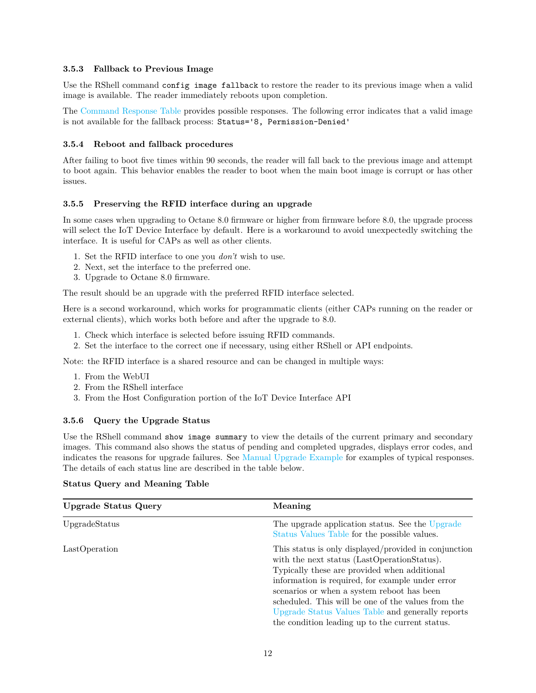#### <span id="page-12-0"></span>**3.5.3 Fallback to Previous Image**

Use the RShell command config image fallback to restore the reader to its previous image when a valid image is available. The reader immediately reboots upon completion.

The [Command Response Table](#page-11-0) provides possible responses. The following error indicates that a valid image is not available for the fallback process: Status='8, Permission-Denied'

#### **3.5.4 Reboot and fallback procedures**

After failing to boot five times within 90 seconds, the reader will fall back to the previous image and attempt to boot again. This behavior enables the reader to boot when the main boot image is corrupt or has other issues.

#### **3.5.5 Preserving the RFID interface during an upgrade**

In some cases when upgrading to Octane 8.0 firmware or higher from firmware before 8.0, the upgrade process will select the IoT Device Interface by default. Here is a workaround to avoid unexpectedly switching the interface. It is useful for CAPs as well as other clients.

- 1. Set the RFID interface to one you *don't* wish to use.
- 2. Next, set the interface to the preferred one.
- 3. Upgrade to Octane 8.0 firmware.

The result should be an upgrade with the preferred RFID interface selected.

Here is a second workaround, which works for programmatic clients (either CAPs running on the reader or external clients), which works both before and after the upgrade to 8.0.

- 1. Check which interface is selected before issuing RFID commands.
- 2. Set the interface to the correct one if necessary, using either RShell or API endpoints.

Note: the RFID interface is a shared resource and can be changed in multiple ways:

- 1. From the WebUI
- 2. From the RShell interface
- 3. From the Host Configuration portion of the IoT Device Interface API

#### **3.5.6 Query the Upgrade Status**

Use the RShell command show image summary to view the details of the current primary and secondary images. This command also shows the status of pending and completed upgrades, displays error codes, and indicates the reasons for upgrade failures. See [Manual Upgrade Example](#page-17-0) for examples of typical responses. The details of each status line are described in the table below.

#### **Status Query and Meaning Table**

| <b>Upgrade Status Query</b> | Meaning                                                                                                                                                                                                                                                                                                                                                                                                              |  |  |
|-----------------------------|----------------------------------------------------------------------------------------------------------------------------------------------------------------------------------------------------------------------------------------------------------------------------------------------------------------------------------------------------------------------------------------------------------------------|--|--|
| UpgradeStatus               | The upgrade application status. See the Upgrade<br>Status Values Table for the possible values.                                                                                                                                                                                                                                                                                                                      |  |  |
| LastOperation               | This status is only displayed/provided in conjunction<br>with the next status (LastOperationStatus).<br>Typically these are provided when additional<br>information is required, for example under error<br>scenarios or when a system reboot has been<br>scheduled. This will be one of the values from the<br>Upgrade Status Values Table and generally reports<br>the condition leading up to the current status. |  |  |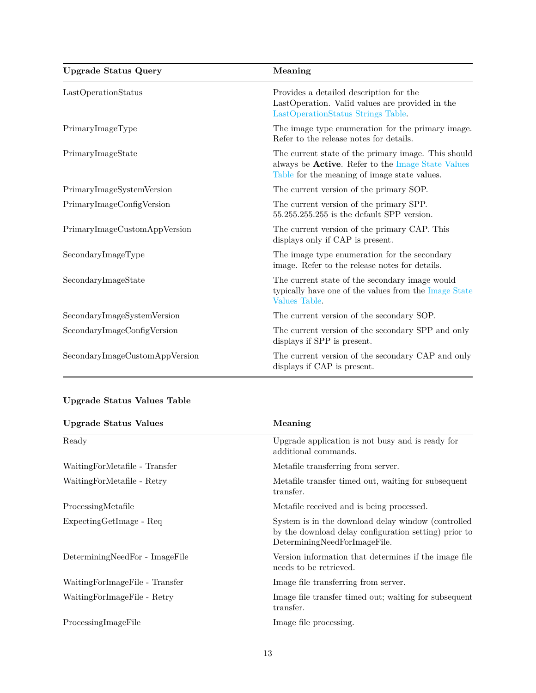<span id="page-13-0"></span>

| <b>Upgrade Status Query</b>    | Meaning                                                                                                                                                          |
|--------------------------------|------------------------------------------------------------------------------------------------------------------------------------------------------------------|
| LastOperationStatus            | Provides a detailed description for the<br>LastOperation. Valid values are provided in the<br>LastOperationStatus Strings Table.                                 |
| PrimaryImageType               | The image type enumeration for the primary image.<br>Refer to the release notes for details.                                                                     |
| PrimaryImageState              | The current state of the primary image. This should<br>always be <b>Active</b> . Refer to the Image State Values<br>Table for the meaning of image state values. |
| PrimaryImageSystemVersion      | The current version of the primary SOP.                                                                                                                          |
| PrimaryImageConfigVersion      | The current version of the primary SPP.<br>$55.255.255.255$ is the default SPP version.                                                                          |
| PrimaryImageCustomAppVersion   | The current version of the primary CAP. This<br>displays only if CAP is present.                                                                                 |
| SecondaryImageType             | The image type enumeration for the secondary<br>image. Refer to the release notes for details.                                                                   |
| SecondaryImageState            | The current state of the secondary image would<br>typically have one of the values from the Image State<br>Values Table.                                         |
| SecondaryImageSystemVersion    | The current version of the secondary SOP.                                                                                                                        |
| SecondaryImageConfigVersion    | The current version of the secondary SPP and only<br>displays if SPP is present.                                                                                 |
| SecondaryImageCustomAppVersion | The current version of the secondary CAP and only<br>displays if CAP is present.                                                                                 |

# **Upgrade Status Values Table**

| <b>Upgrade Status Values</b>   | Meaning                                                                                                                                     |
|--------------------------------|---------------------------------------------------------------------------------------------------------------------------------------------|
| Ready                          | Upgrade application is not busy and is ready for<br>additional commands.                                                                    |
| WaitingForMetafile - Transfer  | Metafile transferring from server.                                                                                                          |
| WaitingForMetafile - Retry     | Metafile transfer timed out, waiting for subsequent<br>transfer.                                                                            |
| ProcessingMetafile             | Metafile received and is being processed.                                                                                                   |
| ExpectingGetImage - Req        | System is in the download delay window (controlled<br>by the download delay configuration setting) prior to<br>DeterminingNeedForImageFile. |
| DeterminingNeedFor - ImageFile | Version information that determines if the image file<br>needs to be retrieved.                                                             |
| WaitingForImageFile - Transfer | Image file transferring from server.                                                                                                        |
| WaitingForImageFile - Retry    | Image file transfer timed out; waiting for subsequent<br>transfer.                                                                          |
| ProcessingImageFile            | Image file processing.                                                                                                                      |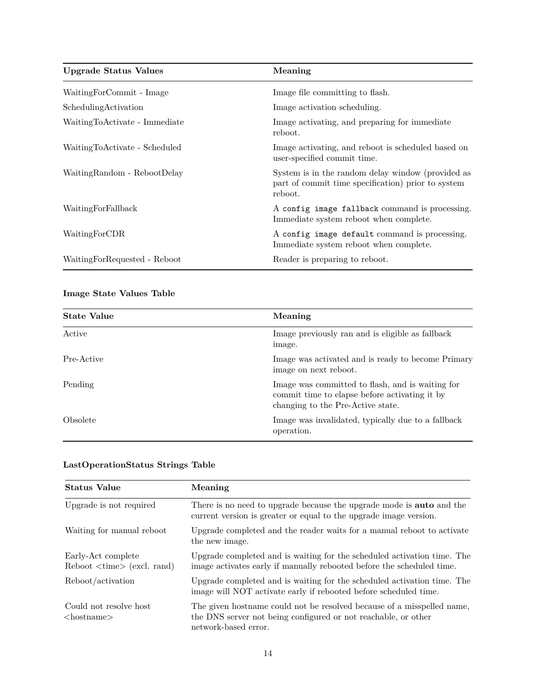<span id="page-14-0"></span>

| <b>Upgrade Status Values</b>  | Meaning                                                                                                            |
|-------------------------------|--------------------------------------------------------------------------------------------------------------------|
| WaitingForCommit - Image      | Image file committing to flash.                                                                                    |
| Scheduling Activation         | Image activation scheduling.                                                                                       |
| WaitingToActivate - Immediate | Image activating, and preparing for immediate<br>reboot.                                                           |
| WaitingToActivate - Scheduled | Image activating, and reboot is scheduled based on<br>user-specified commit time.                                  |
| WaitingRandom - RebootDelay   | System is in the random delay window (provided as<br>part of commit time specification) prior to system<br>reboot. |
| WaitingForFallback            | A config image fallback command is processing.<br>Immediate system reboot when complete.                           |
| WaitingForCDR                 | A config image default command is processing.<br>Immediate system reboot when complete.                            |
| WaitingForRequested - Reboot  | Reader is preparing to reboot.                                                                                     |

# **Image State Values Table**

| <b>State Value</b> | Meaning                                                                                                                                |
|--------------------|----------------------------------------------------------------------------------------------------------------------------------------|
| Active             | Image previously ran and is eligible as fallback<br>image.                                                                             |
| Pre-Active         | Image was activated and is ready to become Primary<br>image on next reboot.                                                            |
| Pending            | Image was committed to flash, and is waiting for<br>commit time to elapse before activating it by<br>changing to the Pre-Active state. |
| Obsolete           | Image was invalidated, typically due to a fallback<br>operation.                                                                       |

| <b>Status Value</b>                                             | Meaning                                                                                                                                                          |
|-----------------------------------------------------------------|------------------------------------------------------------------------------------------------------------------------------------------------------------------|
| Upgrade is not required                                         | There is no need to upgrade because the upgrade mode is <b>auto</b> and the<br>current version is greater or equal to the upgrade image version.                 |
| Waiting for manual reboot                                       | Upgrade completed and the reader waits for a manual reboot to activate<br>the new image.                                                                         |
| Early-Act complete<br>$Reboot \lt time \gt (excl. \text{rand})$ | Upgrade completed and is waiting for the scheduled activation time. The<br>image activates early if manually rebooted before the scheduled time.                 |
| Reboot/activation                                               | Upgrade completed and is waiting for the scheduled activation time. The<br>image will NOT activate early if rebooted before scheduled time.                      |
| Could not resolve host<br>$<$ hostname $>$                      | The given hostname could not be resolved because of a misspelled name,<br>the DNS server not being configured or not reachable, or other<br>network-based error. |

# **LastOperationStatus Strings Table**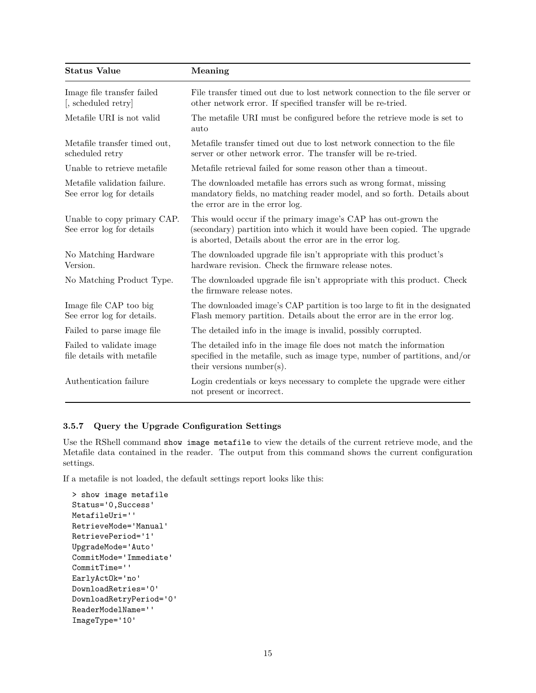<span id="page-15-0"></span>

| <b>Status Value</b>                                       | Meaning                                                                                                                                                                                               |  |
|-----------------------------------------------------------|-------------------------------------------------------------------------------------------------------------------------------------------------------------------------------------------------------|--|
| Image file transfer failed<br>[, scheduled retry]         | File transfer timed out due to lost network connection to the file server or<br>other network error. If specified transfer will be re-tried.                                                          |  |
| Metafile URI is not valid                                 | The metafile URI must be configured before the retrieve mode is set to<br>auto                                                                                                                        |  |
| Metafile transfer timed out,<br>scheduled retry           | Metafile transfer timed out due to lost network connection to the file<br>server or other network error. The transfer will be re-tried.                                                               |  |
| Unable to retrieve metafile                               | Metafile retrieval failed for some reason other than a timeout.                                                                                                                                       |  |
| Metafile validation failure.<br>See error log for details | The downloaded metafile has errors such as wrong format, missing<br>mandatory fields, no matching reader model, and so forth. Details about<br>the error are in the error log.                        |  |
| Unable to copy primary CAP.<br>See error log for details  | This would occur if the primary image's CAP has out-grown the<br>(secondary) partition into which it would have been copied. The upgrade<br>is aborted, Details about the error are in the error log. |  |
| No Matching Hardware<br>Version.                          | The downloaded upgrade file isn't appropriate with this product's<br>hardware revision. Check the firmware release notes.                                                                             |  |
| No Matching Product Type.                                 | The downloaded upgrade file isn't appropriate with this product. Check<br>the firmware release notes.                                                                                                 |  |
| Image file CAP too big<br>See error log for details.      | The downloaded image's CAP partition is too large to fit in the designated<br>Flash memory partition. Details about the error are in the error log.                                                   |  |
| Failed to parse image file                                | The detailed info in the image is invalid, possibly corrupted.                                                                                                                                        |  |
| Failed to validate image<br>file details with metafile    | The detailed info in the image file does not match the information<br>specified in the metafile, such as image type, number of partitions, and/or<br>their versions number(s).                        |  |
| Authentication failure                                    | Login credentials or keys necessary to complete the upgrade were either<br>not present or incorrect.                                                                                                  |  |

# **3.5.7 Query the Upgrade Configuration Settings**

Use the RShell command show image metafile to view the details of the current retrieve mode, and the Metafile data contained in the reader. The output from this command shows the current configuration settings.

If a metafile is not loaded, the default settings report looks like this:

```
> show image metafile
Status='0,Success'
MetafileUri=''
RetrieveMode='Manual'
RetrievePeriod='1'
UpgradeMode='Auto'
CommitMode='Immediate'
CommitTime=''
EarlyActOk='no'
DownloadRetries='0'
DownloadRetryPeriod='0'
ReaderModelName=''
ImageType='10'
```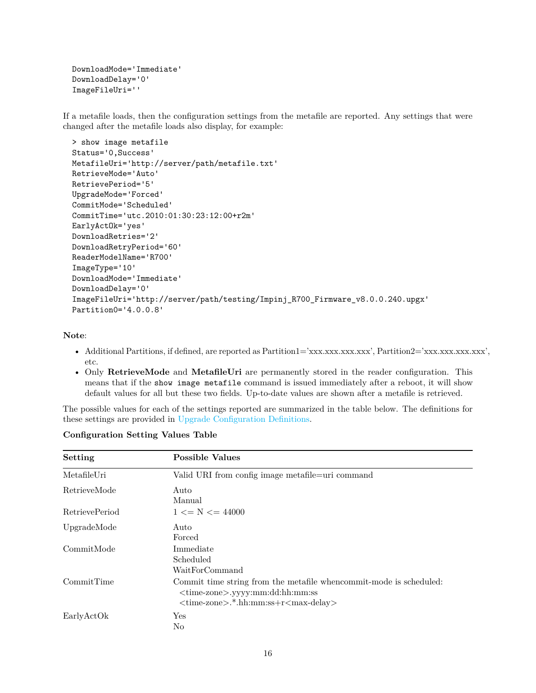```
DownloadMode='Immediate'
DownloadDelay='0'
ImageFileUri=''
```
If a metafile loads, then the configuration settings from the metafile are reported. Any settings that were changed after the metafile loads also display, for example:

```
> show image metafile
Status='0,Success'
MetafileUri='http://server/path/metafile.txt'
RetrieveMode='Auto'
RetrievePeriod='5'
UpgradeMode='Forced'
CommitMode='Scheduled'
CommitTime='utc.2010:01:30:23:12:00+r2m'
EarlyActOk='yes'
DownloadRetries='2'
DownloadRetryPeriod='60'
ReaderModelName='R700'
ImageType='10'
DownloadMode='Immediate'
DownloadDelay='0'
ImageFileUri='http://server/path/testing/Impinj_R700_Firmware_v8.0.0.240.upgx'
Partition0='4.0.0.8'
```
**Note**:

- Additional Partitions, if defined, are reported as Partition1='xxx.xxx.xxx.xxx', Partition2='xxx.xxx.xxx.xxx', etc.
- Only **RetrieveMode** and **MetafileUri** are permanently stored in the reader configuration. This means that if the show image metafile command is issued immediately after a reboot, it will show default values for all but these two fields. Up-to-date values are shown after a metafile is retrieved.

The possible values for each of the settings reported are summarized in the table below. The definitions for these settings are provided in [Upgrade Configuration Definitions.](#page-8-0)

| Setting        | <b>Possible Values</b>                                                                                                                                                            |
|----------------|-----------------------------------------------------------------------------------------------------------------------------------------------------------------------------------|
| MetafileUri    | Valid URI from config image metafile=uri command                                                                                                                                  |
| RetrieveMode   | Auto<br>Manual                                                                                                                                                                    |
| RetrievePeriod | $1 \leq N \leq 44000$                                                                                                                                                             |
| UpgradeMode    | Auto<br>Forced                                                                                                                                                                    |
| CommitMode     | Immediate<br>Scheduled<br>WaitForCommand                                                                                                                                          |
| CommitTime     | Commit time string from the metafile whencommit-mode is scheduled:<br><time-zone>.yyyy:mm:dd:hh:mm:ss<br/><time-zone>.*.hh:mm:ss+r<max-delay></max-delay></time-zone></time-zone> |
| EarlyActOk     | Yes<br>No                                                                                                                                                                         |

# **Configuration Setting Values Table**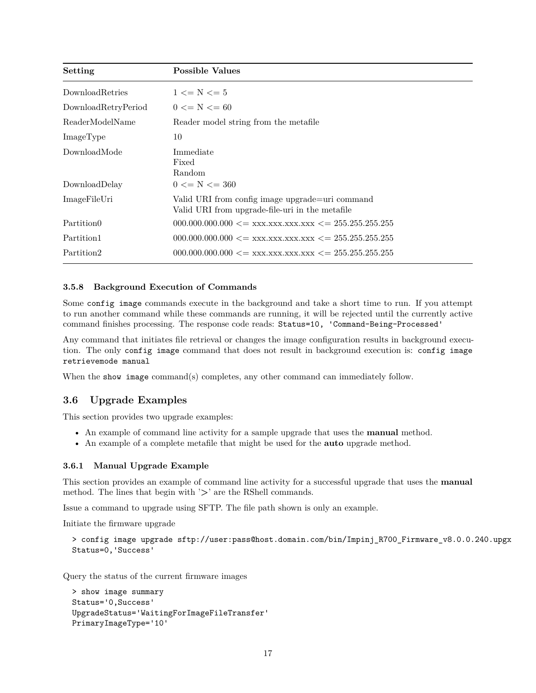<span id="page-17-0"></span>

| Setting                | <b>Possible Values</b>                                                                             |
|------------------------|----------------------------------------------------------------------------------------------------|
| DownloadRetries        | $1 \leq N \leq 5$                                                                                  |
| DownloadRetryPeriod    | $0 \le N \le 60$                                                                                   |
| ReaderModelName        | Reader model string from the metafile                                                              |
| ImageType              | 10                                                                                                 |
| DownloadMode           | Immediate<br>Fixed<br>Random                                                                       |
| DownloadDelay          | $0 \le N \le 360$                                                                                  |
| ImageFileUri           | Valid URI from config image upgrade=uri command<br>Valid URI from upgrade-file-uri in the metafile |
| Partition <sub>0</sub> | $000.000.000.000 \leq xxx.xxx.xxx.xxx \leq 255.255.255.255$                                        |
| Partition1             | $000.000.000.000 \leq xxx.xxx.xxx.xxx \leq 255.255.255.255$                                        |
| Partition2             | $000.000.000.000 \leq xxx.xxx.xxx.xxx \leq 255.255.255.255$                                        |

#### **3.5.8 Background Execution of Commands**

Some config image commands execute in the background and take a short time to run. If you attempt to run another command while these commands are running, it will be rejected until the currently active command finishes processing. The response code reads: Status=10, 'Command-Being-Processed'

Any command that initiates file retrieval or changes the image configuration results in background execution. The only config image command that does not result in background execution is: config image retrievemode manual

When the show image command(s) completes, any other command can immediately follow.

# **3.6 Upgrade Examples**

This section provides two upgrade examples:

- An example of command line activity for a sample upgrade that uses the **manual** method.
- An example of a complete metafile that might be used for the **auto** upgrade method.

#### **3.6.1 Manual Upgrade Example**

This section provides an example of command line activity for a successful upgrade that uses the **manual** method. The lines that begin with '**>**' are the RShell commands.

Issue a command to upgrade using SFTP. The file path shown is only an example.

Initiate the firmware upgrade

```
> config image upgrade sftp://user:pass@host.domain.com/bin/Impinj_R700_Firmware_v8.0.0.240.upgx
Status=0,'Success'
```
Query the status of the current firmware images

```
> show image summary
Status='0,Success'
UpgradeStatus='WaitingForImageFileTransfer'
PrimaryImageType='10'
```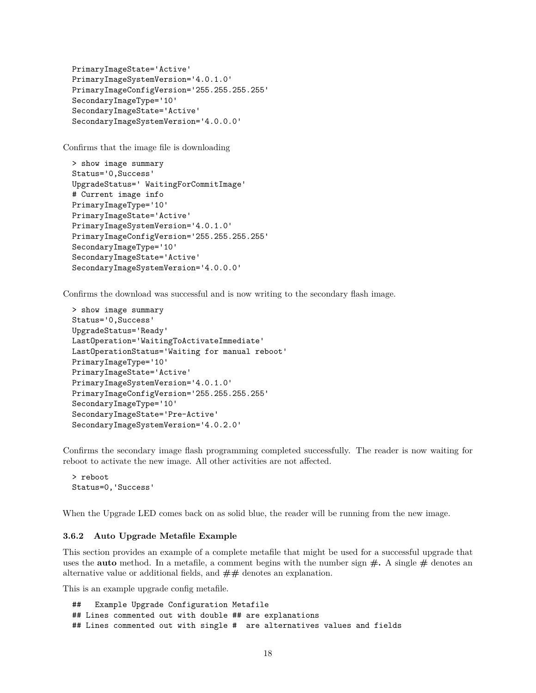```
PrimaryImageState='Active'
PrimaryImageSystemVersion='4.0.1.0'
PrimaryImageConfigVersion='255.255.255.255'
SecondaryImageType='10'
SecondaryImageState='Active'
SecondaryImageSystemVersion='4.0.0.0'
```
Confirms that the image file is downloading

```
> show image summary
Status='0,Success'
UpgradeStatus=' WaitingForCommitImage'
# Current image info
PrimaryImageType='10'
PrimaryImageState='Active'
PrimaryImageSystemVersion='4.0.1.0'
PrimaryImageConfigVersion='255.255.255.255'
SecondaryImageType='10'
SecondaryImageState='Active'
SecondaryImageSystemVersion='4.0.0.0'
```
Confirms the download was successful and is now writing to the secondary flash image.

```
> show image summary
Status='0,Success'
UpgradeStatus='Ready'
LastOperation='WaitingToActivateImmediate'
LastOperationStatus='Waiting for manual reboot'
PrimaryImageType='10'
PrimaryImageState='Active'
PrimaryImageSystemVersion='4.0.1.0'
PrimaryImageConfigVersion='255.255.255.255'
SecondaryImageType='10'
SecondaryImageState='Pre-Active'
SecondaryImageSystemVersion='4.0.2.0'
```
Confirms the secondary image flash programming completed successfully. The reader is now waiting for reboot to activate the new image. All other activities are not affected.

> reboot Status=0,'Success'

When the Upgrade LED comes back on as solid blue, the reader will be running from the new image.

#### **3.6.2 Auto Upgrade Metafile Example**

This section provides an example of a complete metafile that might be used for a successful upgrade that uses the **auto** method. In a metafile, a comment begins with the number sign **#.** A single **#** denotes an alternative value or additional fields, and **##** denotes an explanation.

This is an example upgrade config metafile.

```
## Example Upgrade Configuration Metafile
## Lines commented out with double ## are explanations
## Lines commented out with single # are alternatives values and fields
```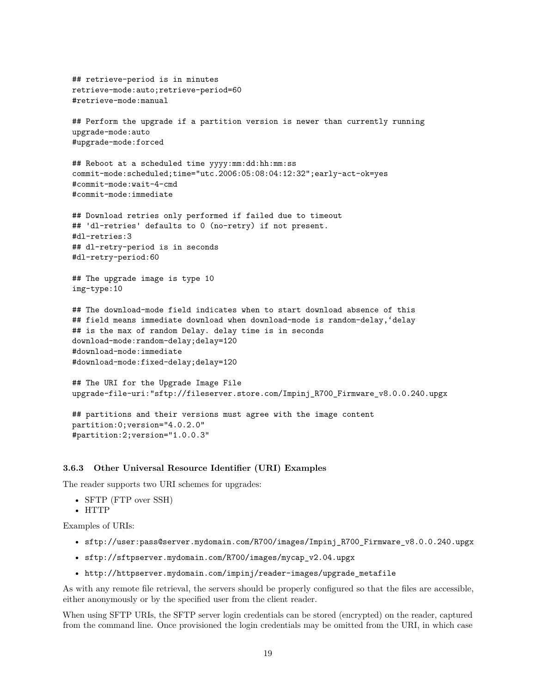```
## retrieve-period is in minutes
retrieve-mode:auto;retrieve-period=60
#retrieve-mode:manual
## Perform the upgrade if a partition version is newer than currently running
upgrade-mode:auto
#upgrade-mode:forced
## Reboot at a scheduled time yyyy:mm:dd:hh:mm:ss
commit-mode:scheduled;time="utc.2006:05:08:04:12:32";early-act-ok=yes
#commit-mode:wait-4-cmd
#commit-mode:immediate
## Download retries only performed if failed due to timeout
## 'dl-retries' defaults to 0 (no-retry) if not present.
#dl-retries:3
## dl-retry-period is in seconds
#dl-retry-period:60
## The upgrade image is type 10
img-type:10
## The download-mode field indicates when to start download absence of this
## field means immediate download when download-mode is random-delay,'delay
## is the max of random Delay. delay time is in seconds
download-mode:random-delay;delay=120
#download-mode:immediate
#download-mode:fixed-delay;delay=120
## The URI for the Upgrade Image File
upgrade-file-uri:"sftp://fileserver.store.com/Impinj_R700_Firmware_v8.0.0.240.upgx
## partitions and their versions must agree with the image content
partition:0;version="4.0.2.0"
```

```
#partition:2;version="1.0.0.3"
```
#### **3.6.3 Other Universal Resource Identifier (URI) Examples**

The reader supports two URI schemes for upgrades:

- SFTP (FTP over SSH)
- HTTP

Examples of URIs:

- sftp://user:pass@server.mydomain.com/R700/images/Impinj\_R700\_Firmware\_v8.0.0.240.upgx
- sftp://sftpserver.mydomain.com/R700/images/mycap\_v2.04.upgx
- http://httpserver.mydomain.com/impinj/reader-images/upgrade\_metafile

As with any remote file retrieval, the servers should be properly configured so that the files are accessible, either anonymously or by the specified user from the client reader.

When using SFTP URIs, the SFTP server login credentials can be stored (encrypted) on the reader, captured from the command line. Once provisioned the login credentials may be omitted from the URI, in which case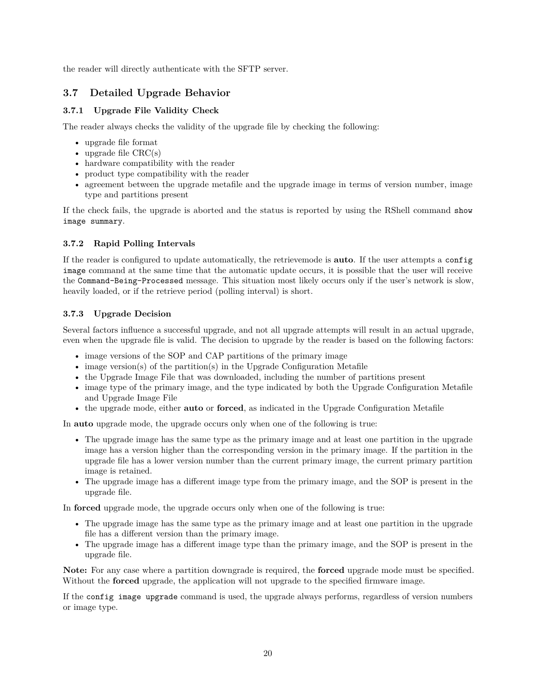<span id="page-20-0"></span>the reader will directly authenticate with the SFTP server.

# **3.7 Detailed Upgrade Behavior**

# **3.7.1 Upgrade File Validity Check**

The reader always checks the validity of the upgrade file by checking the following:

- upgrade file format
- upgrade file  $CRC(s)$
- hardware compatibility with the reader
- product type compatibility with the reader
- agreement between the upgrade metafile and the upgrade image in terms of version number, image type and partitions present

If the check fails, the upgrade is aborted and the status is reported by using the RShell command show image summary.

# **3.7.2 Rapid Polling Intervals**

If the reader is configured to update automatically, the retrievemode is **auto**. If the user attempts a config image command at the same time that the automatic update occurs, it is possible that the user will receive the Command-Being-Processed message. This situation most likely occurs only if the user's network is slow, heavily loaded, or if the retrieve period (polling interval) is short.

# **3.7.3 Upgrade Decision**

Several factors influence a successful upgrade, and not all upgrade attempts will result in an actual upgrade, even when the upgrade file is valid. The decision to upgrade by the reader is based on the following factors:

- image versions of the SOP and CAP partitions of the primary image
- image version(s) of the partition(s) in the Upgrade Configuration Metafile
- the Upgrade Image File that was downloaded, including the number of partitions present
- image type of the primary image, and the type indicated by both the Upgrade Configuration Metafile and Upgrade Image File
- the upgrade mode, either **auto** or **forced**, as indicated in the Upgrade Configuration Metafile

In **auto** upgrade mode, the upgrade occurs only when one of the following is true:

- The upgrade image has the same type as the primary image and at least one partition in the upgrade image has a version higher than the corresponding version in the primary image. If the partition in the upgrade file has a lower version number than the current primary image, the current primary partition image is retained.
- The upgrade image has a different image type from the primary image, and the SOP is present in the upgrade file.

In **forced** upgrade mode, the upgrade occurs only when one of the following is true:

- The upgrade image has the same type as the primary image and at least one partition in the upgrade file has a different version than the primary image.
- The upgrade image has a different image type than the primary image, and the SOP is present in the upgrade file.

**Note:** For any case where a partition downgrade is required, the **forced** upgrade mode must be specified. Without the **forced** upgrade, the application will not upgrade to the specified firmware image.

If the config image upgrade command is used, the upgrade always performs, regardless of version numbers or image type.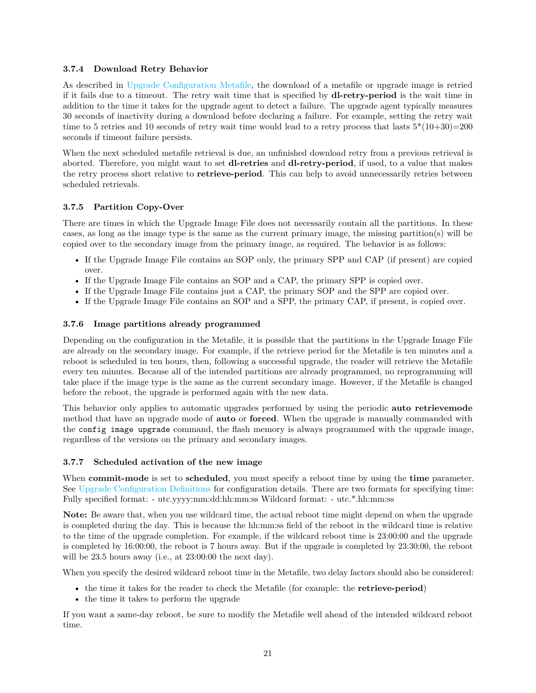#### <span id="page-21-0"></span>**3.7.4 Download Retry Behavior**

As described in [Upgrade Configuration Metafile,](#page-7-0) the download of a metafile or upgrade image is retried if it fails due to a timeout. The retry wait time that is specified by **dl-retry-period** is the wait time in addition to the time it takes for the upgrade agent to detect a failure. The upgrade agent typically measures 30 seconds of inactivity during a download before declaring a failure. For example, setting the retry wait time to 5 retries and 10 seconds of retry wait time would lead to a retry process that lasts  $5*(10+30)=200$ seconds if timeout failure persists.

When the next scheduled metafile retrieval is due, an unfinished download retry from a previous retrieval is aborted. Therefore, you might want to set **dl-retries** and **dl-retry-period**, if used, to a value that makes the retry process short relative to **retrieve-period**. This can help to avoid unnecessarily retries between scheduled retrievals.

# **3.7.5 Partition Copy-Over**

There are times in which the Upgrade Image File does not necessarily contain all the partitions. In these cases, as long as the image type is the same as the current primary image, the missing partition(s) will be copied over to the secondary image from the primary image, as required. The behavior is as follows:

- If the Upgrade Image File contains an SOP only, the primary SPP and CAP (if present) are copied over.
- If the Upgrade Image File contains an SOP and a CAP, the primary SPP is copied over.
- If the Upgrade Image File contains just a CAP, the primary SOP and the SPP are copied over.
- If the Upgrade Image File contains an SOP and a SPP, the primary CAP, if present, is copied over.

#### **3.7.6 Image partitions already programmed**

Depending on the configuration in the Metafile, it is possible that the partitions in the Upgrade Image File are already on the secondary image. For example, if the retrieve period for the Metafile is ten minutes and a reboot is scheduled in ten hours, then, following a successful upgrade, the reader will retrieve the Metafile every ten minutes. Because all of the intended partitions are already programmed, no reprogramming will take place if the image type is the same as the current secondary image. However, if the Metafile is changed before the reboot, the upgrade is performed again with the new data.

This behavior only applies to automatic upgrades performed by using the periodic **auto retrievemode** method that have an upgrade mode of **auto** or **forced**. When the upgrade is manually commanded with the config image upgrade command, the flash memory is always programmed with the upgrade image, regardless of the versions on the primary and secondary images.

# **3.7.7 Scheduled activation of the new image**

When **commit-mode** is set to **scheduled**, you must specify a reboot time by using the **time** parameter. See [Upgrade Configuration Definitions](#page-8-0) for configuration details. There are two formats for specifying time: Fully specified format: - utc.yyyy:mm:dd:hh:mm:ss Wildcard format: - utc.\*.hh:mm:ss

**Note:** Be aware that, when you use wildcard time, the actual reboot time might depend on when the upgrade is completed during the day. This is because the hh:mm:ss field of the reboot in the wildcard time is relative to the time of the upgrade completion. For example, if the wildcard reboot time is 23:00:00 and the upgrade is completed by 16:00:00, the reboot is 7 hours away. But if the upgrade is completed by 23:30:00, the reboot will be 23.5 hours away (i.e., at 23:00:00 the next day).

When you specify the desired wildcard reboot time in the Metafile, two delay factors should also be considered:

- the time it takes for the reader to check the Metafile (for example: the **retrieve-period**)
- the time it takes to perform the upgrade

If you want a same-day reboot, be sure to modify the Metafile well ahead of the intended wildcard reboot time.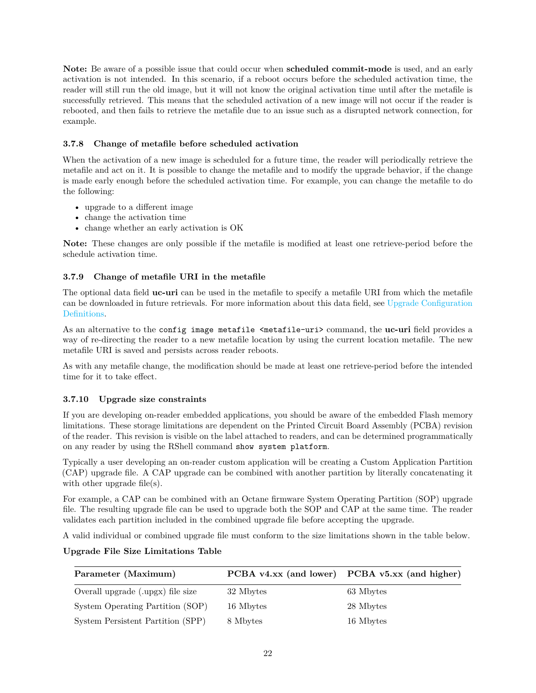<span id="page-22-0"></span>**Note:** Be aware of a possible issue that could occur when **scheduled commit-mode** is used, and an early activation is not intended. In this scenario, if a reboot occurs before the scheduled activation time, the reader will still run the old image, but it will not know the original activation time until after the metafile is successfully retrieved. This means that the scheduled activation of a new image will not occur if the reader is rebooted, and then fails to retrieve the metafile due to an issue such as a disrupted network connection, for example.

# **3.7.8 Change of metafile before scheduled activation**

When the activation of a new image is scheduled for a future time, the reader will periodically retrieve the metafile and act on it. It is possible to change the metafile and to modify the upgrade behavior, if the change is made early enough before the scheduled activation time. For example, you can change the metafile to do the following:

- upgrade to a different image
- change the activation time
- change whether an early activation is OK

**Note:** These changes are only possible if the metafile is modified at least one retrieve-period before the schedule activation time.

# **3.7.9 Change of metafile URI in the metafile**

The optional data field **uc-uri** can be used in the metafile to specify a metafile URI from which the metafile can be downloaded in future retrievals. For more information about this data field, see [Upgrade Configuration](#page-8-0) [Definitions.](#page-8-0)

As an alternative to the config image metafile <metafile-uri> command, the **uc-uri** field provides a way of re-directing the reader to a new metafile location by using the current location metafile. The new metafile URI is saved and persists across reader reboots.

As with any metafile change, the modification should be made at least one retrieve-period before the intended time for it to take effect.

# **3.7.10 Upgrade size constraints**

If you are developing on-reader embedded applications, you should be aware of the embedded Flash memory limitations. These storage limitations are dependent on the Printed Circuit Board Assembly (PCBA) revision of the reader. This revision is visible on the label attached to readers, and can be determined programmatically on any reader by using the RShell command show system platform.

Typically a user developing an on-reader custom application will be creating a Custom Application Partition (CAP) upgrade file. A CAP upgrade can be combined with another partition by literally concatenating it with other upgrade file(s).

For example, a CAP can be combined with an Octane firmware System Operating Partition (SOP) upgrade file. The resulting upgrade file can be used to upgrade both the SOP and CAP at the same time. The reader validates each partition included in the combined upgrade file before accepting the upgrade.

A valid individual or combined upgrade file must conform to the size limitations shown in the table below.

# **Upgrade File Size Limitations Table**

| Parameter (Maximum)               |           | PCBA v4.xx (and lower) PCBA v5.xx (and higher) |
|-----------------------------------|-----------|------------------------------------------------|
| Overall upgrade (upgx) file size  | 32 Mbytes | 63 Mbytes                                      |
| System Operating Partition (SOP)  | 16 Mbytes | 28 Mbytes                                      |
| System Persistent Partition (SPP) | 8 Mbytes  | 16 Mbytes                                      |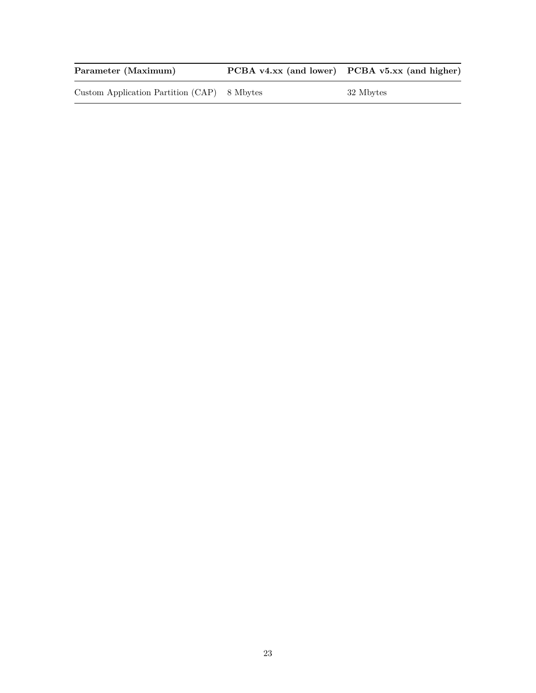<span id="page-23-0"></span>Parameter (Maximum) PCBA v4.xx (and lower) PCBA v5.xx (and higher)

Custom Application Partition (CAP) 8 Mbytes 32 Mbytes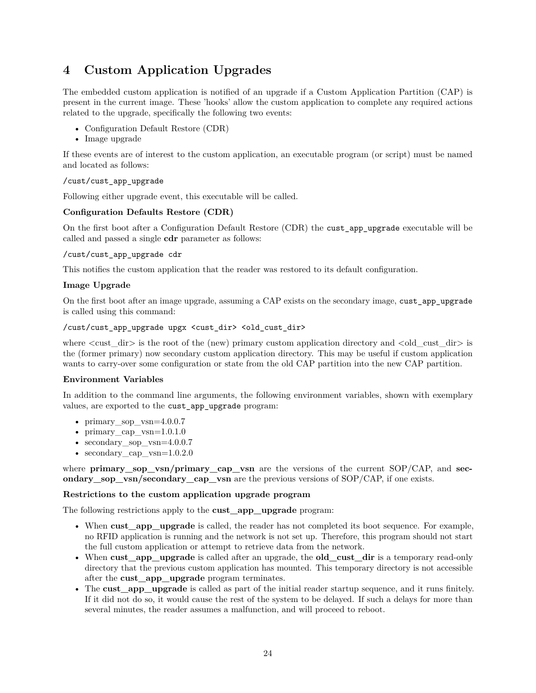# **4 Custom Application Upgrades**

The embedded custom application is notified of an upgrade if a Custom Application Partition (CAP) is present in the current image. These 'hooks' allow the custom application to complete any required actions related to the upgrade, specifically the following two events:

- Configuration Default Restore (CDR)
- Image upgrade

If these events are of interest to the custom application, an executable program (or script) must be named and located as follows:

# /cust/cust\_app\_upgrade

Following either upgrade event, this executable will be called.

# **Configuration Defaults Restore (CDR)**

On the first boot after a Configuration Default Restore (CDR) the cust\_app\_upgrade executable will be called and passed a single **cdr** parameter as follows:

#### /cust/cust\_app\_upgrade cdr

This notifies the custom application that the reader was restored to its default configuration.

# **Image Upgrade**

On the first boot after an image upgrade, assuming a CAP exists on the secondary image, cust\_app\_upgrade is called using this command:

#### /cust/cust\_app\_upgrade upgx <cust\_dir> <old\_cust\_dir>

where  $\langle \text{cust} \rangle$  dir $\rangle$  is the root of the (new) primary custom application directory and  $\langle \text{old} \rangle$  cust dir $\rangle$  is the (former primary) now secondary custom application directory. This may be useful if custom application wants to carry-over some configuration or state from the old CAP partition into the new CAP partition.

# **Environment Variables**

In addition to the command line arguments, the following environment variables, shown with exemplary values, are exported to the cust\_app\_upgrade program:

- primary sop  $v\text{sn}=4.0.0.7$
- primary cap  $v\sin=1.0.1.0$
- secondary sop vsn=4.0.0.7
- secondary cap  $v\sin=1.0.2.0$

where **primary** sop vsn/primary cap vsn are the versions of the current SOP/CAP, and **secondary\_sop\_vsn/secondary\_cap\_vsn** are the previous versions of SOP/CAP, if one exists.

#### **Restrictions to the custom application upgrade program**

The following restrictions apply to the **cust\_app\_upgrade** program:

- When **cust** app upgrade is called, the reader has not completed its boot sequence. For example, no RFID application is running and the network is not set up. Therefore, this program should not start the full custom application or attempt to retrieve data from the network.
- When **cust\_app\_upgrade** is called after an upgrade, the **old\_cust\_dir** is a temporary read-only directory that the previous custom application has mounted. This temporary directory is not accessible after the **cust\_app\_upgrade** program terminates.
- The **cust** app upgrade is called as part of the initial reader startup sequence, and it runs finitely. If it did not do so, it would cause the rest of the system to be delayed. If such a delays for more than several minutes, the reader assumes a malfunction, and will proceed to reboot.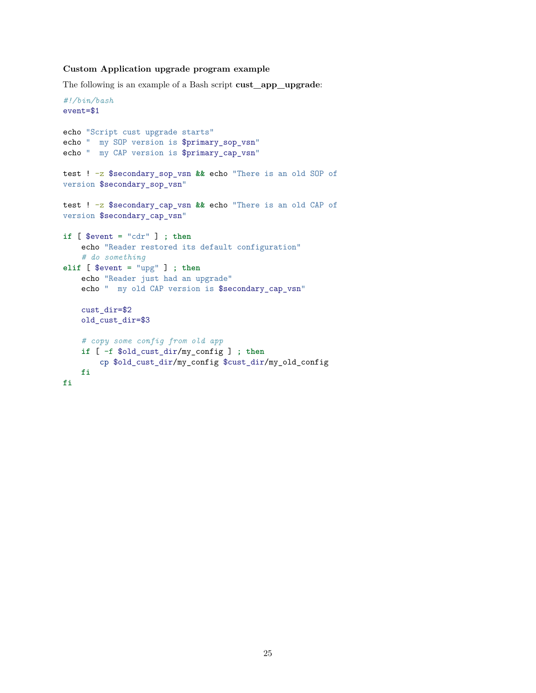#### <span id="page-25-0"></span>**Custom Application upgrade program example**

The following is an example of a Bash script **cust\_app\_upgrade**:

```
#!/bin/bash
event=$1
echo "Script cust upgrade starts"
echo " my SOP version is $primary_sop_vsn"
echo " my CAP version is $primary_cap_vsn"
test ! -z $secondary_sop_vsn && echo "There is an old SOP of
version $secondary_sop_vsn"
test ! -z $secondary_cap_vsn && echo "There is an old CAP of
version $secondary_cap_vsn"
if [ $event = "cdr" ] ; then
    echo "Reader restored its default configuration"
    # do something
elif [ $event = "upg" ] ; then
    echo "Reader just had an upgrade"
    echo " my old CAP version is $secondary_cap_vsn"
    cust_dir=$2
    old_cust_dir=$3
    # copy some config from old app
    if [ -f $old_cust_dir/my_config ] ; then
       cp $old_cust_dir/my_config $cust_dir/my_old_config
    fi
fi
```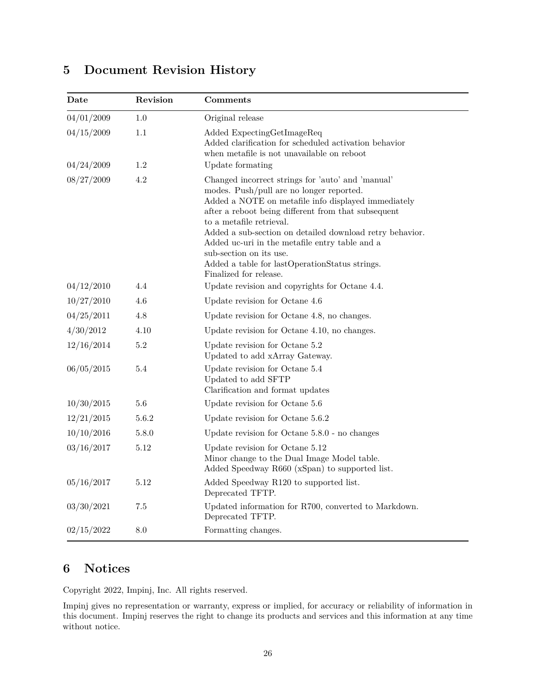# <span id="page-26-0"></span>**5 Document Revision History**

| Date                     | Revision   | Comments                                                                                                                                                                                                                                                                                                                                                                                                                                                     |
|--------------------------|------------|--------------------------------------------------------------------------------------------------------------------------------------------------------------------------------------------------------------------------------------------------------------------------------------------------------------------------------------------------------------------------------------------------------------------------------------------------------------|
| 04/01/2009               | 1.0        | Original release                                                                                                                                                                                                                                                                                                                                                                                                                                             |
| 04/15/2009<br>04/24/2009 | 1.1<br>1.2 | Added ExpectingGetImageReq<br>Added clarification for scheduled activation behavior<br>when metafile is not unavailable on reboot<br>Update formating                                                                                                                                                                                                                                                                                                        |
| 08/27/2009               | 4.2        | Changed incorrect strings for 'auto' and 'manual'<br>modes. Push/pull are no longer reported.<br>Added a NOTE on metafile info displayed immediately<br>after a reboot being different from that subsequent<br>to a metafile retrieval.<br>Added a sub-section on detailed download retry behavior.<br>Added uc-uri in the metafile entry table and a<br>sub-section on its use.<br>Added a table for lastOperationStatus strings.<br>Finalized for release. |
| 04/12/2010               | 4.4        | Update revision and copyrights for Octane 4.4.                                                                                                                                                                                                                                                                                                                                                                                                               |
| 10/27/2010               | 4.6        | Update revision for Octane 4.6                                                                                                                                                                                                                                                                                                                                                                                                                               |
| 04/25/2011               | $4.8\,$    | Update revision for Octane 4.8, no changes.                                                                                                                                                                                                                                                                                                                                                                                                                  |
| 4/30/2012                | 4.10       | Update revision for Octane 4.10, no changes.                                                                                                                                                                                                                                                                                                                                                                                                                 |
| 12/16/2014               | $5.2\,$    | Update revision for Octane 5.2<br>Updated to add xArray Gateway.                                                                                                                                                                                                                                                                                                                                                                                             |
| 06/05/2015               | 5.4        | Update revision for Octane 5.4<br>Updated to add SFTP<br>Clarification and format updates                                                                                                                                                                                                                                                                                                                                                                    |
| 10/30/2015               | $5.6\,$    | Update revision for Octane 5.6                                                                                                                                                                                                                                                                                                                                                                                                                               |
| 12/21/2015               | 5.6.2      | Update revision for Octane 5.6.2                                                                                                                                                                                                                                                                                                                                                                                                                             |
| 10/10/2016               | 5.8.0      | Update revision for Octane $5.8.0$ - no changes                                                                                                                                                                                                                                                                                                                                                                                                              |
| 03/16/2017               | 5.12       | Update revision for Octane $5.12\,$<br>Minor change to the Dual Image Model table.<br>Added Speedway R660 (xSpan) to supported list.                                                                                                                                                                                                                                                                                                                         |
| 05/16/2017               | 5.12       | Added Speedway R120 to supported list.<br>Deprecated TFTP.                                                                                                                                                                                                                                                                                                                                                                                                   |
| 03/30/2021               | 7.5        | Updated information for R700, converted to Markdown.<br>Deprecated TFTP.                                                                                                                                                                                                                                                                                                                                                                                     |
| 02/15/2022               | $8.0\,$    | Formatting changes.                                                                                                                                                                                                                                                                                                                                                                                                                                          |

# **6 Notices**

Copyright 2022, Impinj, Inc. All rights reserved.

Impinj gives no representation or warranty, express or implied, for accuracy or reliability of information in this document. Impinj reserves the right to change its products and services and this information at any time without notice.